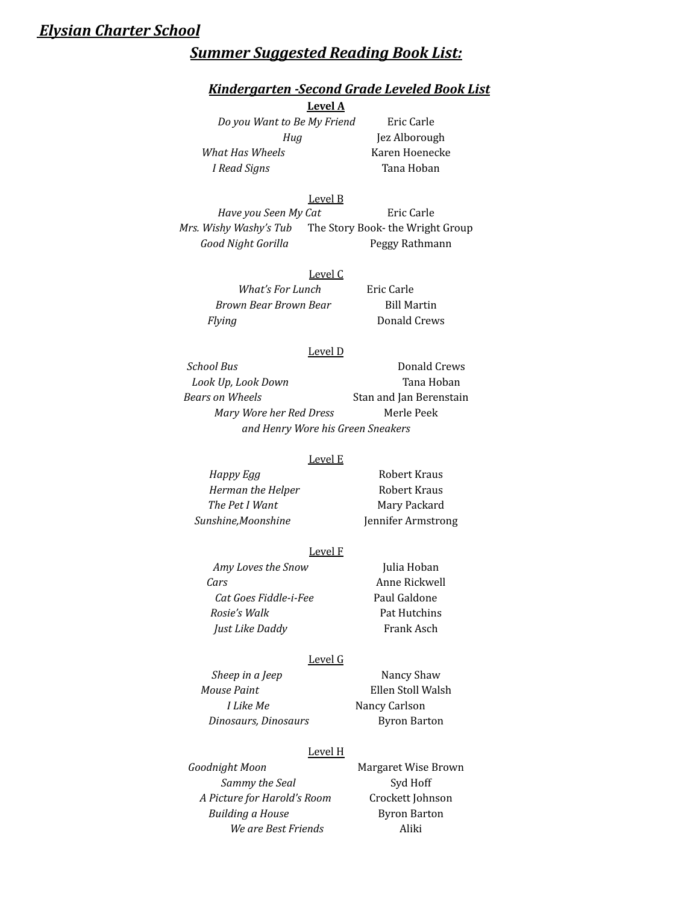# *Elysian Charter School*

# *Summer Suggested Reading Book List:*

## *Kindergarten -Second Grade Leveled Book List*

# **Level A**

*Do you Want to Be My Friend* Eric Carle *What Has Wheels* Karen Hoenecke *I Read Signs* Tana Hoban

*Hug* Jez Alborough

### Level B

*Have you Seen My Cat* Eric Carle *Mrs. Wishy Washy's Tub* The Story Book- the Wright Group *Good Night Gorilla* Peggy Rathmann

## Level C

| What's For Lunch      | Eric Carle         |
|-----------------------|--------------------|
| Brown Bear Brown Bear | <b>Bill Martin</b> |
| Flying                | Donald Crews       |

#### Level D

**School Bus** Donald Crews *Look Up, Look Down* Tana Hoban *Bears on Wheels* Stan and Jan Berenstain *Mary Wore her Red Dress* Merle Peek *and Henry Wore his Green Sneakers*

#### Level E

*Herman the Helper* Robert Kraus *The Pet I Want* Mary Packard *Sunshine,Moonshine* Jennifer Armstrong

*Happy Egg* Robert Kraus

### Level F

*Amy Loves the Snow* Julia Hoban *Cars* Anne Rickwell *Cat Goes Fiddle-i-Fee* Paul Galdone *Rosie's Walk* Pat Hutchins *Just Like Daddy* Frank Asch

## Level G

*Sheep in a Jeep* Nancy Shaw *Mouse Paint* Ellen Stoll Walsh *I Like Me* Nancy Carlson *Dinosaurs, Dinosaurs* Byron Barton

# Level H

*Goodnight Moon* Margaret Wise Brown **Sammy** the Seal Syd Hoff *A Picture for Harold's Room* Crockett Johnson *Building a House* Byron Barton *We are Best Friends* Aliki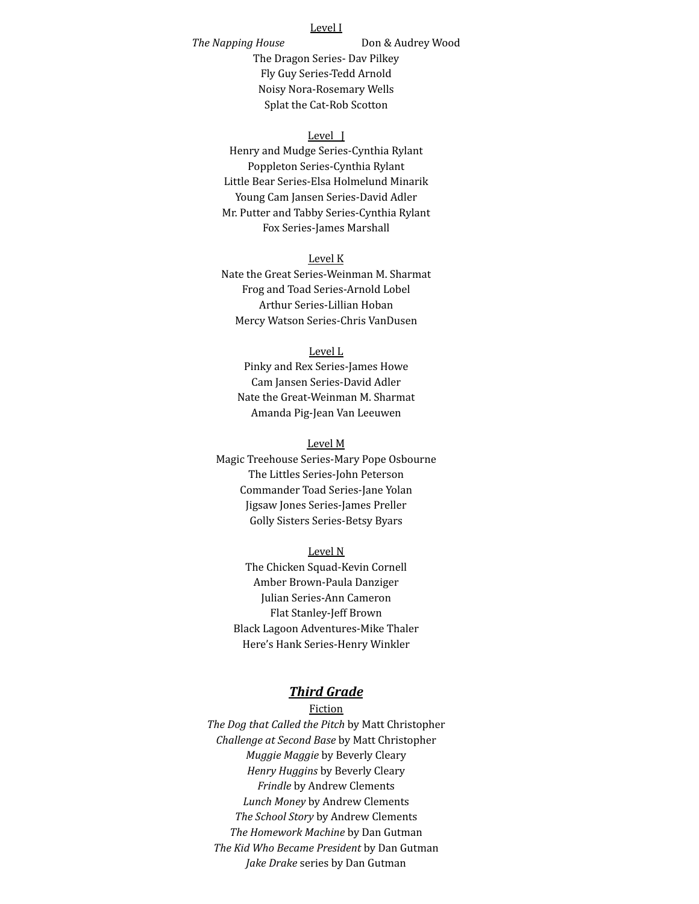## Level I

*The Napping House* Don & Audrey Wood

The Dragon Series- Dav Pilkey Fly Guy Series-Tedd Arnold Noisy Nora-Rosemary Wells Splat the Cat-Rob Scotton

### Level J

Henry and Mudge Series-Cynthia Rylant Poppleton Series-Cynthia Rylant Little Bear Series-Elsa Holmelund Minarik Young Cam Jansen Series-David Adler Mr. Putter and Tabby Series-Cynthia Rylant Fox Series-James Marshall

## Level K

Nate the Great Series-Weinman M. Sharmat Frog and Toad Series-Arnold Lobel Arthur Series-Lillian Hoban Mercy Watson Series-Chris VanDusen

### Level L

Pinky and Rex Series-James Howe Cam Jansen Series-David Adler Nate the Great-Weinman M. Sharmat Amanda Pig-Jean Van Leeuwen

### Level M

Magic Treehouse Series-Mary Pope Osbourne The Littles Series-John Peterson Commander Toad Series-Jane Yolan Jigsaw Jones Series-James Preller Golly Sisters Series-Betsy Byars

Level N The Chicken Squad-Kevin Cornell Amber Brown-Paula Danziger Julian Series-Ann Cameron Flat Stanley-Jeff Brown Black Lagoon Adventures-Mike Thaler Here's Hank Series-Henry Winkler

## *Third Grade*

Fiction *The Dog that Called the Pitch* by Matt Christopher *Challenge at Second Base* by Matt Christopher *Muggie Maggie* by Beverly Cleary *Henry Huggins* by Beverly Cleary *Frindle* by Andrew Clements *Lunch Money* by Andrew Clements *The School Story* by Andrew Clements *The Homework Machine* by Dan Gutman *The Kid Who Became President* by Dan Gutman *Jake Drake* series by Dan Gutman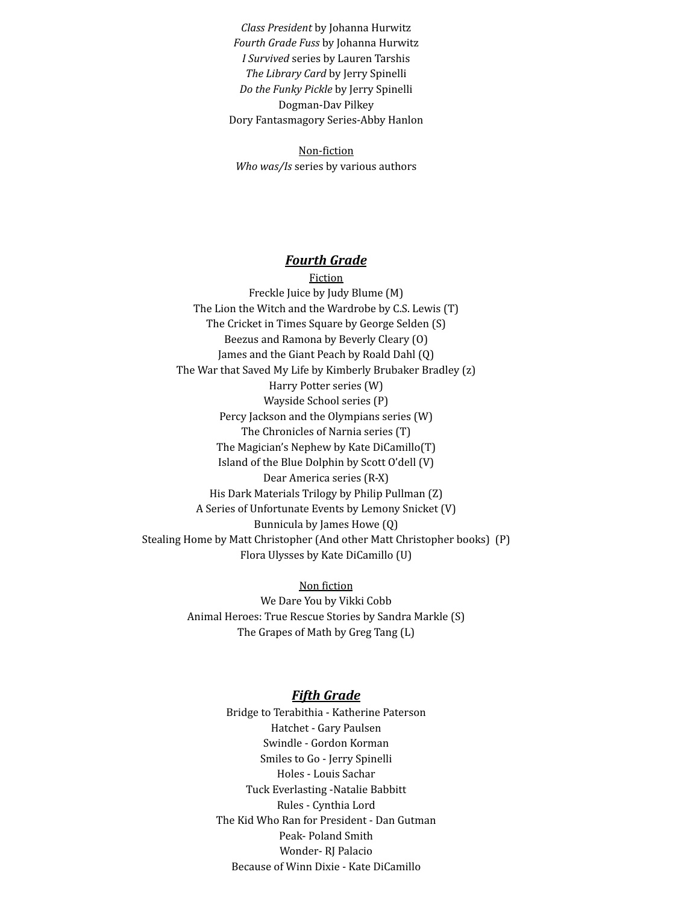*Class President* by Johanna Hurwitz *Fourth Grade Fuss* by Johanna Hurwitz *I Survived* series by Lauren Tarshis *The Library Card* by Jerry Spinelli *Do the Funky Pickle* by Jerry Spinelli Dogman-Dav Pilkey Dory Fantasmagory Series-Abby Hanlon

Non-fiction *Who was/Is* series by various authors

# *Fourth Grade*

Fiction Freckle Juice by Judy Blume (M) The Lion the Witch and the Wardrobe by C.S. Lewis (T) The Cricket in Times Square by George Selden (S) Beezus and Ramona by Beverly Cleary (O) James and the Giant Peach by Roald Dahl (Q) The War that Saved My Life by Kimberly Brubaker Bradley (z) Harry Potter series (W) Wayside School series (P) Percy Jackson and the Olympians series (W) The Chronicles of Narnia series (T) The Magician's Nephew by Kate DiCamillo(T) Island of the Blue Dolphin by Scott O'dell (V) Dear America series (R-X) His Dark Materials Trilogy by Philip Pullman (Z) A Series of Unfortunate Events by Lemony Snicket (V) Bunnicula by James Howe (Q) Stealing Home by Matt Christopher (And other Matt Christopher books) (P) Flora Ulysses by Kate DiCamillo (U)

> Non fiction We Dare You by Vikki Cobb Animal Heroes: True Rescue Stories by Sandra Markle (S) The Grapes of Math by Greg Tang (L)

# *Fifth Grade*

Bridge to Terabithia - Katherine Paterson Hatchet - Gary Paulsen Swindle - Gordon Korman Smiles to Go - Jerry Spinelli Holes - Louis Sachar Tuck Everlasting -Natalie Babbitt Rules - Cynthia Lord The Kid Who Ran for President - Dan Gutman Peak- Poland Smith Wonder- RJ Palacio Because of Winn Dixie - Kate DiCamillo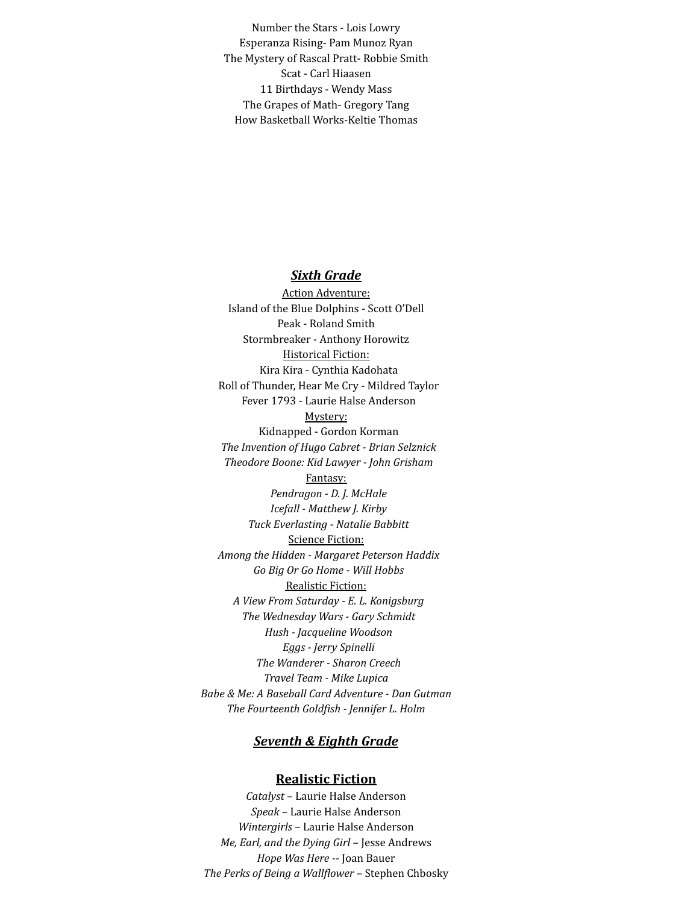Number the Stars - Lois Lowry Esperanza Rising- Pam Munoz Ryan The Mystery of Rascal Pratt- Robbie Smith Scat - Carl Hiaasen 11 Birthdays - Wendy Mass The Grapes of Math- Gregory Tang How Basketball Works-Keltie Thomas

# *Sixth Grade*

Action Adventure: Island of the Blue Dolphins - Scott O'Dell Peak - Roland Smith Stormbreaker - Anthony Horowitz Historical Fiction: Kira Kira - Cynthia Kadohata Roll of Thunder, Hear Me Cry - Mildred Taylor Fever 1793 - Laurie Halse Anderson Mystery: Kidnapped - Gordon Korman *The Invention of Hugo Cabret - Brian Selznick Theodore Boone: Kid Lawyer - John Grisham* Fantasy: *Pendragon - D. J. McHale Icefall - Matthew J. Kirby Tuck Everlasting - Natalie Babbitt* Science Fiction: *Among the Hidden - Margaret Peterson Haddix Go Big Or Go Home - Will Hobbs* Realistic Fiction: *A View From Saturday - E. L. Konigsburg The Wednesday Wars - Gary Schmidt Hush - Jacqueline Woodson Eggs - Jerry Spinelli The Wanderer - Sharon Creech Travel Team - Mike Lupica Babe & Me: A Baseball Card Adventure - Dan Gutman The Fourteenth Goldfish - Jennifer L. Holm*

# *Seventh & Eighth Grade*

# **Realistic Fiction**

*Catalyst* – Laurie Halse Anderson *Speak* – Laurie Halse Anderson *Wintergirls* – Laurie Halse Anderson *Me, Earl, and the Dying Girl* – Jesse Andrews *Hope Was Here* -- Joan Bauer *The Perks of Being a Wallflower* – Stephen Chbosky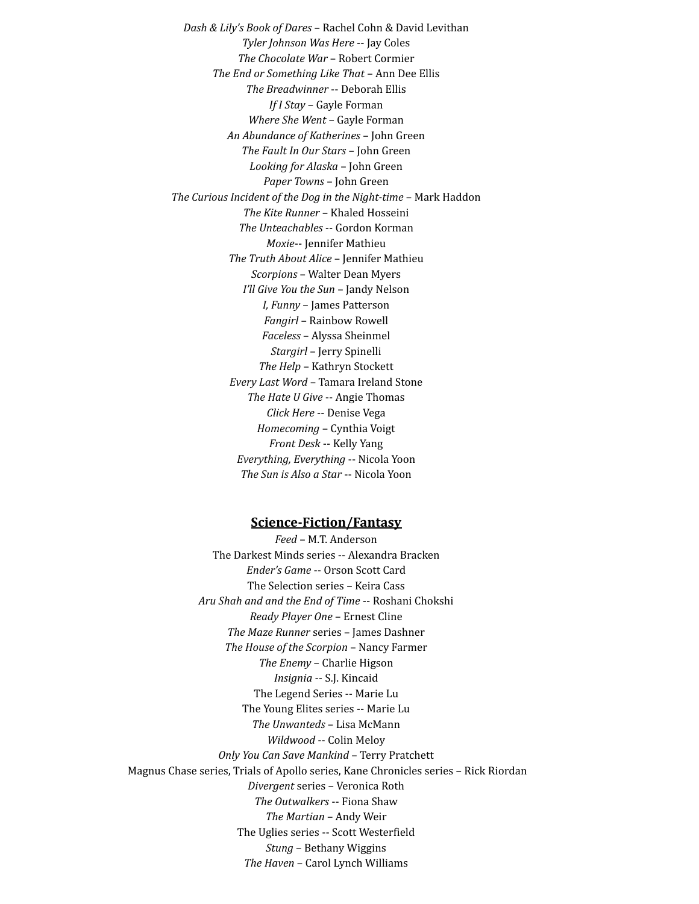*Dash & Lily's Book of Dares* – Rachel Cohn & David Levithan *Tyler Johnson Was Here* -- Jay Coles *The Chocolate War* – Robert Cormier *The End or Something Like That* – Ann Dee Ellis *The Breadwinner* -- Deborah Ellis *If I Stay* – Gayle Forman *Where She Went* – Gayle Forman *An Abundance of Katherines* – John Green *The Fault In Our Stars* – John Green *Looking for Alaska* – John Green *Paper Towns* – John Green *The Curious Incident of the Dog in the Night-time* – Mark Haddon *The Kite Runner* – Khaled Hosseini *The Unteachables* -- Gordon Korman *Moxie*-- Jennifer Mathieu *The Truth About Alice* – Jennifer Mathieu *Scorpions* – Walter Dean Myers *I'll Give You the Sun* – Jandy Nelson *I, Funny* – James Patterson *Fangirl* – Rainbow Rowell *Faceless* – Alyssa Sheinmel *Stargirl* – Jerry Spinelli *The Help* – Kathryn Stockett *Every Last Word* – Tamara Ireland Stone *The Hate U Give* -- Angie Thomas *Click Here* -- Denise Vega *Homecoming* – Cynthia Voigt *Front Desk* -- Kelly Yang *Everything, Everything* -- Nicola Yoon *The Sun is Also a Star* -- Nicola Yoon

## **Science-Fiction/Fantasy**

*Feed* – M.T. Anderson The Darkest Minds series -- Alexandra Bracken *Ender's Game* -- Orson Scott Card The Selection series – Keira Cass *Aru Shah and and the End of Time* -- Roshani Chokshi *Ready Player One* – Ernest Cline *The Maze Runner* series – James Dashner *The House of the Scorpion* – Nancy Farmer *The Enemy* – Charlie Higson *Insignia* -- S.J. Kincaid The Legend Series -- Marie Lu The Young Elites series -- Marie Lu *The Unwanteds* – Lisa McMann *Wildwood* -- Colin Meloy *Only You Can Save Mankind* – Terry Pratchett Magnus Chase series, Trials of Apollo series, Kane Chronicles series – Rick Riordan *Divergent* series – Veronica Roth *The Outwalkers* -- Fiona Shaw *The Martian* – Andy Weir The Uglies series -- Scott Westerfield *Stung* – Bethany Wiggins *The Haven* – Carol Lynch Williams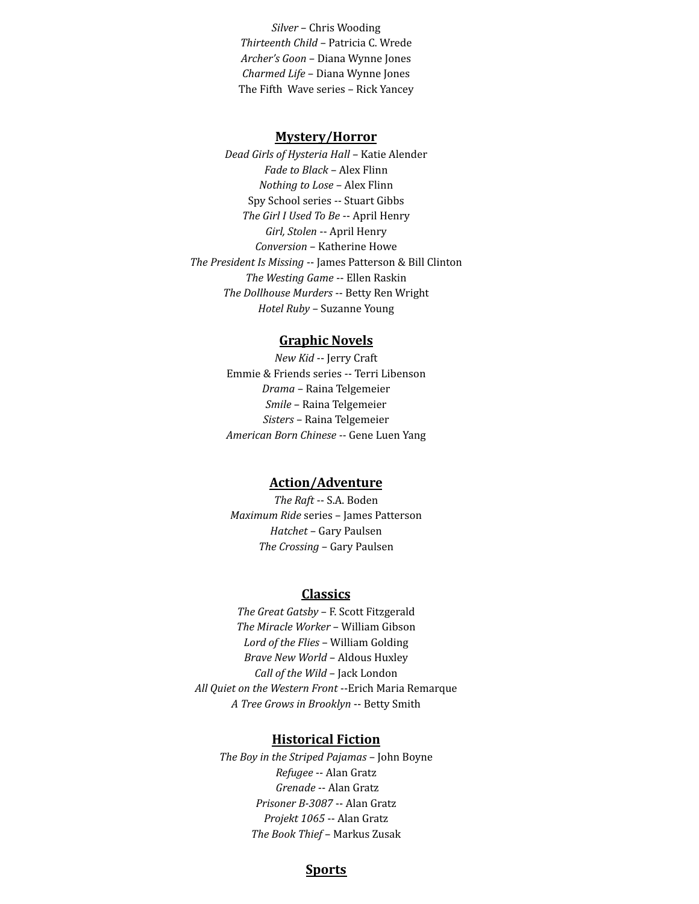*Silver* – Chris Wooding *Thirteenth Child* – Patricia C. Wrede *Archer's Goon* – Diana Wynne Jones *Charmed Life* – Diana Wynne Jones The Fifth Wave series – Rick Yancey

### **Mystery/Horror**

*Dead Girls of Hysteria Hall* – Katie Alender *Fade to Black* – Alex Flinn *Nothing to Lose* – Alex Flinn Spy School series -- Stuart Gibbs *The Girl I Used To Be* -- April Henry *Girl, Stolen* -- April Henry *Conversion* – Katherine Howe *The President Is Missing* -- James Patterson & Bill Clinton *The Westing Game* -- Ellen Raskin *The Dollhouse Murders* -- Betty Ren Wright *Hotel Ruby* – Suzanne Young

# **Graphic Novels**

*New Kid* -- Jerry Craft Emmie & Friends series -- Terri Libenson *Drama* – Raina Telgemeier *Smile* – Raina Telgemeier *Sisters* – Raina Telgemeier *American Born Chinese --* Gene Luen Yang

# **Action/Adventure**

*The Raft* -- S.A. Boden *Maximum Ride* series – James Patterson *Hatchet* – Gary Paulsen *The Crossing* – Gary Paulsen

## **Classics**

*The Great Gatsby* – F. Scott Fitzgerald *The Miracle Worker* – William Gibson *Lord of the Flies* – William Golding *Brave New World* – Aldous Huxley *Call of the Wild* – Jack London *All Quiet on the Western Front* --Erich Maria Remarque *A Tree Grows in Brooklyn* -- Betty Smith

## **Historical Fiction**

*The Boy in the Striped Pajamas* – John Boyne *Refugee* -- Alan Gratz *Grenade* -- Alan Gratz *Prisoner B-3087* -- Alan Gratz *Projekt 1065* -- Alan Gratz *The Book Thief* – Markus Zusak

## **Sports**